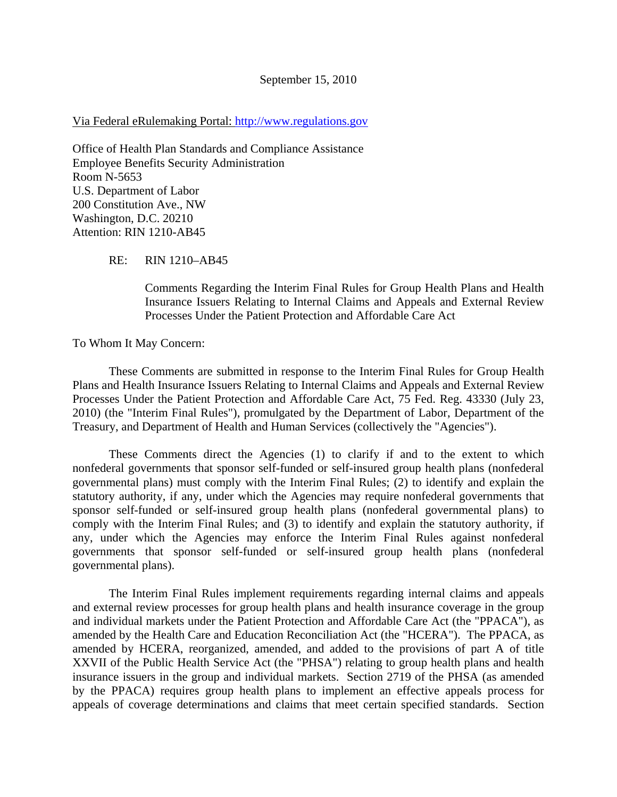## Via Federal eRulemaking Portal: http://www.regulations.gov

Office of Health Plan Standards and Compliance Assistance Employee Benefits Security Administration Room N-5653 U.S. Department of Labor 200 Constitution Ave., NW Washington, D.C. 20210 Attention: RIN 1210-AB45

RE: RIN 1210–AB45

Comments Regarding the Interim Final Rules for Group Health Plans and Health Insurance Issuers Relating to Internal Claims and Appeals and External Review Processes Under the Patient Protection and Affordable Care Act

To Whom It May Concern:

 These Comments are submitted in response to the Interim Final Rules for Group Health Plans and Health Insurance Issuers Relating to Internal Claims and Appeals and External Review Processes Under the Patient Protection and Affordable Care Act, 75 Fed. Reg. 43330 (July 23, 2010) (the "Interim Final Rules"), promulgated by the Department of Labor, Department of the Treasury, and Department of Health and Human Services (collectively the "Agencies").

 These Comments direct the Agencies (1) to clarify if and to the extent to which nonfederal governments that sponsor self-funded or self-insured group health plans (nonfederal governmental plans) must comply with the Interim Final Rules; (2) to identify and explain the statutory authority, if any, under which the Agencies may require nonfederal governments that sponsor self-funded or self-insured group health plans (nonfederal governmental plans) to comply with the Interim Final Rules; and (3) to identify and explain the statutory authority, if any, under which the Agencies may enforce the Interim Final Rules against nonfederal governments that sponsor self-funded or self-insured group health plans (nonfederal governmental plans).

 The Interim Final Rules implement requirements regarding internal claims and appeals and external review processes for group health plans and health insurance coverage in the group and individual markets under the Patient Protection and Affordable Care Act (the "PPACA"), as amended by the Health Care and Education Reconciliation Act (the "HCERA"). The PPACA, as amended by HCERA, reorganized, amended, and added to the provisions of part A of title XXVII of the Public Health Service Act (the "PHSA") relating to group health plans and health insurance issuers in the group and individual markets. Section 2719 of the PHSA (as amended by the PPACA) requires group health plans to implement an effective appeals process for appeals of coverage determinations and claims that meet certain specified standards. Section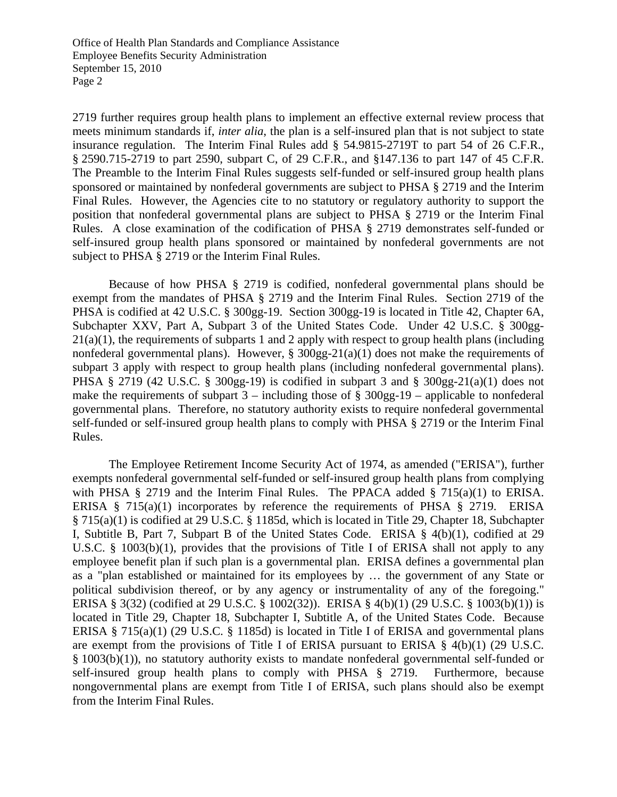Office of Health Plan Standards and Compliance Assistance Employee Benefits Security Administration September 15, 2010 Page 2

2719 further requires group health plans to implement an effective external review process that meets minimum standards if, *inter alia*, the plan is a self-insured plan that is not subject to state insurance regulation. The Interim Final Rules add § 54.9815-2719T to part 54 of 26 C.F.R., § 2590.715-2719 to part 2590, subpart C, of 29 C.F.R., and §147.136 to part 147 of 45 C.F.R. The Preamble to the Interim Final Rules suggests self-funded or self-insured group health plans sponsored or maintained by nonfederal governments are subject to PHSA § 2719 and the Interim Final Rules. However, the Agencies cite to no statutory or regulatory authority to support the position that nonfederal governmental plans are subject to PHSA § 2719 or the Interim Final Rules. A close examination of the codification of PHSA § 2719 demonstrates self-funded or self-insured group health plans sponsored or maintained by nonfederal governments are not subject to PHSA § 2719 or the Interim Final Rules.

 Because of how PHSA § 2719 is codified, nonfederal governmental plans should be exempt from the mandates of PHSA § 2719 and the Interim Final Rules. Section 2719 of the PHSA is codified at 42 U.S.C. § 300gg-19. Section 300gg-19 is located in Title 42, Chapter 6A, Subchapter XXV, Part A, Subpart 3 of the United States Code. Under 42 U.S.C. § 300gg-21(a)(1), the requirements of subparts 1 and 2 apply with respect to group health plans (including nonfederal governmental plans). However, § 300gg-21(a)(1) does not make the requirements of subpart 3 apply with respect to group health plans (including nonfederal governmental plans). PHSA § 2719 (42 U.S.C. § 300gg-19) is codified in subpart 3 and § 300gg-21(a)(1) does not make the requirements of subpart  $3$  – including those of  $\S$  300gg-19 – applicable to nonfederal governmental plans. Therefore, no statutory authority exists to require nonfederal governmental self-funded or self-insured group health plans to comply with PHSA § 2719 or the Interim Final Rules.

 The Employee Retirement Income Security Act of 1974, as amended ("ERISA"), further exempts nonfederal governmental self-funded or self-insured group health plans from complying with PHSA  $\S$  2719 and the Interim Final Rules. The PPACA added  $\S$  715(a)(1) to ERISA. ERISA  $\S$  715(a)(1) incorporates by reference the requirements of PHSA  $\S$  2719. ERISA § 715(a)(1) is codified at 29 U.S.C. § 1185d, which is located in Title 29, Chapter 18, Subchapter I, Subtitle B, Part 7, Subpart B of the United States Code. ERISA § 4(b)(1), codified at 29 U.S.C. § 1003(b)(1), provides that the provisions of Title I of ERISA shall not apply to any employee benefit plan if such plan is a governmental plan. ERISA defines a governmental plan as a "plan established or maintained for its employees by … the government of any State or political subdivision thereof, or by any agency or instrumentality of any of the foregoing." ERISA § 3(32) (codified at 29 U.S.C. § 1002(32)). ERISA § 4(b)(1) (29 U.S.C. § 1003(b)(1)) is located in Title 29, Chapter 18, Subchapter I, Subtitle A, of the United States Code. Because ERISA § 715(a)(1) (29 U.S.C. § 1185d) is located in Title I of ERISA and governmental plans are exempt from the provisions of Title I of ERISA pursuant to ERISA  $\S$  4(b)(1) (29 U.S.C. § 1003(b)(1)), no statutory authority exists to mandate nonfederal governmental self-funded or self-insured group health plans to comply with PHSA § 2719. Furthermore, because nongovernmental plans are exempt from Title I of ERISA, such plans should also be exempt from the Interim Final Rules.